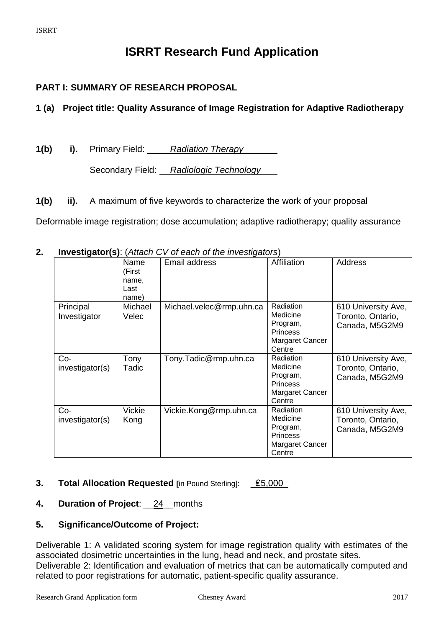# **ISRRT Research Fund Application**

# **PART I: SUMMARY OF RESEARCH PROPOSAL**

# **1 (a) Project title: Quality Assurance of Image Registration for Adaptive Radiotherapy**

**1(b) i).** Primary Field: *Radiation Therapy* Secondary Field: *Radiologic Technology*

**1(b) ii).** A maximum of five keywords to characterize the work of your proposal

Deformable image registration; dose accumulation; adaptive radiotherapy; quality assurance

**2. Investigator(s)**: (*Attach CV of each of the investigators*)

|                           | Name<br>(First<br>name,<br>Last<br>name) | Email address            | Affiliation                                                                              | <b>Address</b>                                             |
|---------------------------|------------------------------------------|--------------------------|------------------------------------------------------------------------------------------|------------------------------------------------------------|
| Principal<br>Investigator | Michael<br>Velec                         | Michael.velec@rmp.uhn.ca | Radiation<br>Medicine<br>Program,<br><b>Princess</b><br><b>Margaret Cancer</b><br>Centre | 610 University Ave,<br>Toronto, Ontario,<br>Canada, M5G2M9 |
| Co-<br>investigator(s)    | Tony<br>Tadic                            | Tony.Tadic@rmp.uhn.ca    | Radiation<br>Medicine<br>Program,<br><b>Princess</b><br>Margaret Cancer<br>Centre        | 610 University Ave,<br>Toronto, Ontario,<br>Canada, M5G2M9 |
| Co-<br>investigator(s)    | Vickie<br>Kong                           | Vickie.Kong@rmp.uhn.ca   | Radiation<br>Medicine<br>Program,<br><b>Princess</b><br><b>Margaret Cancer</b><br>Centre | 610 University Ave,<br>Toronto, Ontario,<br>Canada, M5G2M9 |

# **3. Total Allocation Requested** [in Pound Sterling]:  $£5,000$

# **4. Duration of Project**: \_\_24\_\_months

# **5. Significance/Outcome of Project:**

Deliverable 1: A validated scoring system for image registration quality with estimates of the associated dosimetric uncertainties in the lung, head and neck, and prostate sites. Deliverable 2: Identification and evaluation of metrics that can be automatically computed and related to poor registrations for automatic, patient-specific quality assurance.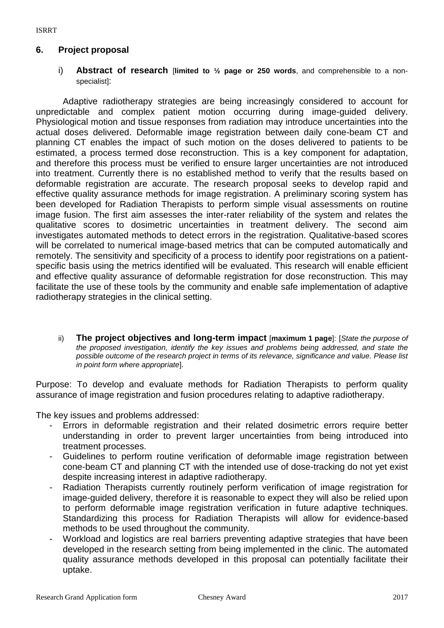#### **6. Project proposal**

i) **Abstract of research** [**limited to ½ page or 250 words**, and comprehensible to a nonspecialist]:

Adaptive radiotherapy strategies are being increasingly considered to account for unpredictable and complex patient motion occurring during image-guided delivery. Physiological motion and tissue responses from radiation may introduce uncertainties into the actual doses delivered. Deformable image registration between daily cone-beam CT and planning CT enables the impact of such motion on the doses delivered to patients to be estimated, a process termed dose reconstruction. This is a key component for adaptation, and therefore this process must be verified to ensure larger uncertainties are not introduced into treatment. Currently there is no established method to verify that the results based on deformable registration are accurate. The research proposal seeks to develop rapid and effective quality assurance methods for image registration. A preliminary scoring system has been developed for Radiation Therapists to perform simple visual assessments on routine image fusion. The first aim assesses the inter-rater reliability of the system and relates the qualitative scores to dosimetric uncertainties in treatment delivery. The second aim investigates automated methods to detect errors in the registration. Qualitative-based scores will be correlated to numerical image-based metrics that can be computed automatically and remotely. The sensitivity and specificity of a process to identify poor registrations on a patientspecific basis using the metrics identified will be evaluated. This research will enable efficient and effective quality assurance of deformable registration for dose reconstruction. This may facilitate the use of these tools by the community and enable safe implementation of adaptive radiotherapy strategies in the clinical setting.

ii) **The project objectives and long-term impact** [**maximum 1 page**]: [*State the purpose of the proposed investigation, identify the key issues and problems being addressed, and state the possible outcome of the research project in terms of its relevance, significance and value. Please list in point form where appropriate*].

Purpose: To develop and evaluate methods for Radiation Therapists to perform quality assurance of image registration and fusion procedures relating to adaptive radiotherapy.

The key issues and problems addressed:

- Errors in deformable registration and their related dosimetric errors require better understanding in order to prevent larger uncertainties from being introduced into treatment processes.
- Guidelines to perform routine verification of deformable image registration between cone-beam CT and planning CT with the intended use of dose-tracking do not yet exist despite increasing interest in adaptive radiotherapy.
- Radiation Therapists currently routinely perform verification of image registration for image-guided delivery, therefore it is reasonable to expect they will also be relied upon to perform deformable image registration verification in future adaptive techniques. Standardizing this process for Radiation Therapists will allow for evidence-based methods to be used throughout the community.
- Workload and logistics are real barriers preventing adaptive strategies that have been developed in the research setting from being implemented in the clinic. The automated quality assurance methods developed in this proposal can potentially facilitate their uptake.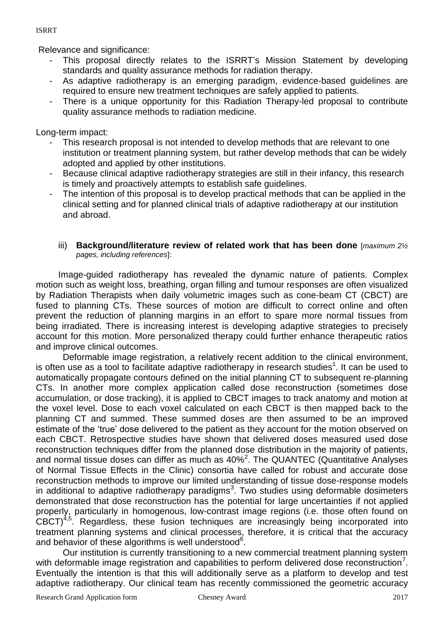#### ISRRT

Relevance and significance:

- This proposal directly relates to the ISRRT's Mission Statement by developing standards and quality assurance methods for radiation therapy.
- As adaptive radiotherapy is an emerging paradigm, evidence-based guidelines are required to ensure new treatment techniques are safely applied to patients.
- There is a unique opportunity for this Radiation Therapy-led proposal to contribute quality assurance methods to radiation medicine.

Long-term impact:

- This research proposal is not intended to develop methods that are relevant to one institution or treatment planning system, but rather develop methods that can be widely adopted and applied by other institutions.
- Because clinical adaptive radiotherapy strategies are still in their infancy, this research is timely and proactively attempts to establish safe guidelines.
- The intention of this proposal is to develop practical methods that can be applied in the clinical setting and for planned clinical trials of adaptive radiotherapy at our institution and abroad.
	- iii) **Background/literature review of related work that has been done** [*maximum 2½ pages, including references*]:

Image-guided radiotherapy has revealed the dynamic nature of patients. Complex motion such as weight loss, breathing, organ filling and tumour responses are often visualized by Radiation Therapists when daily volumetric images such as cone-beam CT (CBCT) are fused to planning CTs. These sources of motion are difficult to correct online and often prevent the reduction of planning margins in an effort to spare more normal tissues from being irradiated. There is increasing interest is developing adaptive strategies to precisely account for this motion. More personalized therapy could further enhance therapeutic ratios and improve clinical outcomes.

Deformable image registration, a relatively recent addition to the clinical environment, is often use as a tool to facilitate adaptive radiotherapy in research studies<sup>1</sup>. It can be used to automatically propagate contours defined on the initial planning CT to subsequent re-planning CTs. In another more complex application called dose reconstruction (sometimes dose accumulation, or dose tracking), it is applied to CBCT images to track anatomy and motion at the voxel level. Dose to each voxel calculated on each CBCT is then mapped back to the planning CT and summed. These summed doses are then assumed to be an improved estimate of the 'true' dose delivered to the patient as they account for the motion observed on each CBCT. Retrospective studies have shown that delivered doses measured used dose reconstruction techniques differ from the planned dose distribution in the majority of patients, and normal tissue doses can differ as much as  $40\%^2$ . The QUANTEC (Quantitative Analyses of Normal Tissue Effects in the Clinic) consortia have called for robust and accurate dose reconstruction methods to improve our limited understanding of tissue dose-response models in additional to adaptive radiotherapy paradigms<sup>3</sup>. Two studies using deformable dosimeters demonstrated that dose reconstruction has the potential for large uncertainties if not applied properly, particularly in homogenous, low-contrast image regions (i.e. those often found on  $CBCT)^{4,5}$ . Regardless, these fusion techniques are increasingly being incorporated into treatment planning systems and clinical processes, therefore, it is critical that the accuracy and behavior of these algorithms is well understood<sup>6</sup>.

Our institution is currently transitioning to a new commercial treatment planning system with deformable image registration and capabilities to perform delivered dose reconstruction<sup>7</sup>. Eventually the intention is that this will additionally serve as a platform to develop and test adaptive radiotherapy. Our clinical team has recently commissioned the geometric accuracy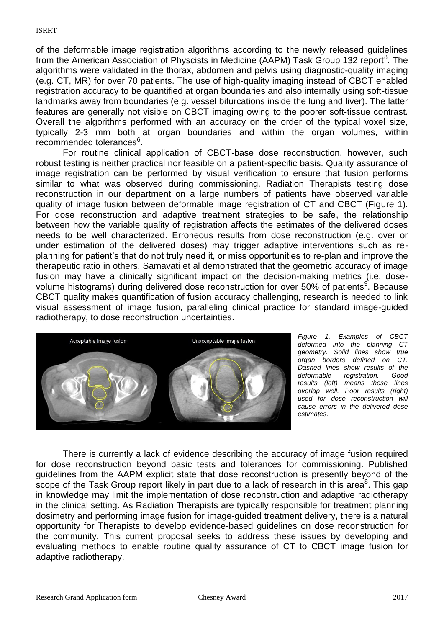of the deformable image registration algorithms according to the newly released guidelines from the American Association of Physcists in Medicine (AAPM) Task Group 132 report<sup>8</sup>. The algorithms were validated in the thorax, abdomen and pelvis using diagnostic-quality imaging (e.g. CT, MR) for over 70 patients. The use of high-quality imaging instead of CBCT enabled registration accuracy to be quantified at organ boundaries and also internally using soft-tissue landmarks away from boundaries (e.g. vessel bifurcations inside the lung and liver). The latter features are generally not visible on CBCT imaging owing to the poorer soft-tissue contrast. Overall the algorithms performed with an accuracy on the order of the typical voxel size, typically 2-3 mm both at organ boundaries and within the organ volumes, within recommended tolerances<sup>6</sup>.

For routine clinical application of CBCT-base dose reconstruction, however, such robust testing is neither practical nor feasible on a patient-specific basis. Quality assurance of image registration can be performed by visual verification to ensure that fusion performs similar to what was observed during commissioning. Radiation Therapists testing dose reconstruction in our department on a large numbers of patients have observed variable quality of image fusion between deformable image registration of CT and CBCT (Figure 1). For dose reconstruction and adaptive treatment strategies to be safe, the relationship between how the variable quality of registration affects the estimates of the delivered doses needs to be well characterized. Erroneous results from dose reconstruction (e.g. over or under estimation of the delivered doses) may trigger adaptive interventions such as replanning for patient's that do not truly need it, or miss opportunities to re-plan and improve the therapeutic ratio in others. Samavati et al demonstrated that the geometric accuracy of image fusion may have a clinically significant impact on the decision-making metrics (i.e. dosevolume histograms) during delivered dose reconstruction for over 50% of patients<sup>9</sup>. Because CBCT quality makes quantification of fusion accuracy challenging, research is needed to link visual assessment of image fusion, paralleling clinical practice for standard image-guided radiotherapy, to dose reconstruction uncertainties.



*Figure 1. Examples of CBCT deformed into the planning CT geometry. Solid lines show true organ borders defined on CT. Dashed lines show results of the deformable registration. Good results (left) means these lines overlap well. Poor results (right) used for dose reconstruction will cause errors in the delivered dose estimates.* 

There is currently a lack of evidence describing the accuracy of image fusion required for dose reconstruction beyond basic tests and tolerances for commissioning. Published guidelines from the AAPM explicit state that dose reconstruction is presently beyond of the scope of the Task Group report likely in part due to a lack of research in this area $^8$ . This gap in knowledge may limit the implementation of dose reconstruction and adaptive radiotherapy in the clinical setting. As Radiation Therapists are typically responsible for treatment planning dosimetry and performing image fusion for image-guided treatment delivery, there is a natural opportunity for Therapists to develop evidence-based guidelines on dose reconstruction for the community. This current proposal seeks to address these issues by developing and evaluating methods to enable routine quality assurance of CT to CBCT image fusion for adaptive radiotherapy.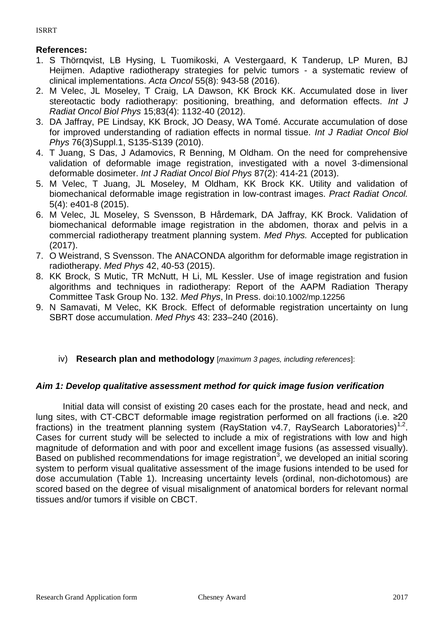# **References:**

- 1. S Thörnqvist, LB Hysing, L Tuomikoski, A Vestergaard, K Tanderup, LP Muren, BJ Heijmen. Adaptive radiotherapy strategies for pelvic tumors - a systematic review of clinical implementations. *Acta Oncol* 55(8): 943-58 (2016).
- 2. M Velec, JL Moseley, T Craig, LA Dawson, KK Brock KK. Accumulated dose in liver stereotactic body radiotherapy: positioning, breathing, and deformation effects. *Int J Radiat Oncol Biol Phys* 15;83(4): 1132-40 (2012).
- 3. DA Jaffray, PE Lindsay, KK Brock, JO Deasy, WA Tomé. Accurate accumulation of dose for improved understanding of radiation effects in normal tissue*. Int J Radiat Oncol Biol Phys* 76(3)Suppl.1, S135-S139 (2010).
- 4. T Juang, S Das, J Adamovics, R Benning, M Oldham. On the need for comprehensive validation of deformable image registration, investigated with a novel 3-dimensional deformable dosimeter. *Int J Radiat Oncol Biol Phys* 87(2): 414-21 (2013).
- 5. M Velec, T Juang, JL Moseley, M Oldham, KK Brock KK. Utility and validation of biomechanical deformable image registration in low-contrast images. *Pract Radiat Oncol.* 5(4): e401-8 (2015).
- 6. M Velec, JL Moseley, S Svensson, B Hårdemark, DA Jaffray, KK Brock. Validation of biomechanical deformable image registration in the abdomen, thorax and pelvis in a commercial radiotherapy treatment planning system. *Med Phys.* Accepted for publication (2017).
- 7. O Weistrand, S Svensson. The ANACONDA algorithm for deformable image registration in radiotherapy. *Med Phys* 42, 40-53 (2015).
- 8. KK Brock, S Mutic, TR McNutt, H Li, ML Kessler. Use of image registration and fusion algorithms and techniques in radiotherapy: Report of the AAPM Radiation Therapy Committee Task Group No. 132. *Med Phys*, In Press. doi:10.1002/mp.12256
- 9. N Samavati, M Velec, KK Brock. Effect of deformable registration uncertainty on lung SBRT dose accumulation. *Med Phys* 43: 233–240 (2016).

# iv) **Research plan and methodology** [*maximum 3 pages, including references*]:

# *Aim 1: Develop qualitative assessment method for quick image fusion verification*

Initial data will consist of existing 20 cases each for the prostate, head and neck, and lung sites, with CT-CBCT deformable image registration performed on all fractions (i.e. ≥20 fractions) in the treatment planning system (RayStation v4.7, RaySearch Laboratories)<sup>1,2</sup>. Cases for current study will be selected to include a mix of registrations with low and high magnitude of deformation and with poor and excellent image fusions (as assessed visually). Based on published recommendations for image registration<sup>3</sup>, we developed an initial scoring system to perform visual qualitative assessment of the image fusions intended to be used for dose accumulation (Table 1). Increasing uncertainty levels (ordinal, non-dichotomous) are scored based on the degree of visual misalignment of anatomical borders for relevant normal tissues and/or tumors if visible on CBCT.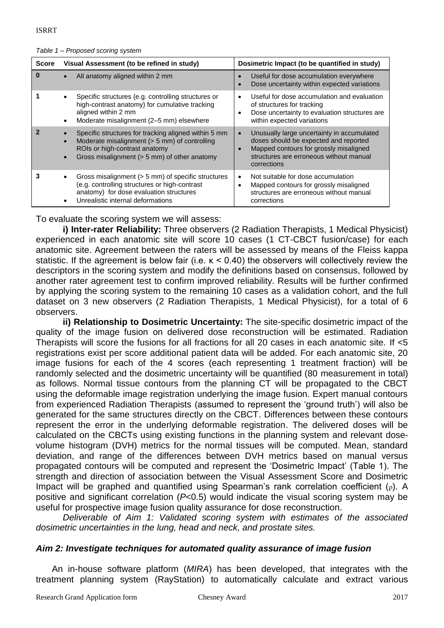| <b>Score</b> | Visual Assessment (to be refined in study)                                                                                                                                             | Dosimetric Impact (to be quantified in study)                                                                                                                                                        |  |  |  |
|--------------|----------------------------------------------------------------------------------------------------------------------------------------------------------------------------------------|------------------------------------------------------------------------------------------------------------------------------------------------------------------------------------------------------|--|--|--|
| n            | All anatomy aligned within 2 mm                                                                                                                                                        | Useful for dose accumulation everywhere<br>Dose uncertainty within expected variations                                                                                                               |  |  |  |
|              | Specific structures (e.g. controlling structures or<br>high-contrast anatomy) for cumulative tracking<br>aligned within 2 mm<br>Moderate misalignment (2-5 mm) elsewhere<br>$\bullet$  | Useful for dose accumulation and evaluation<br>$\bullet$<br>of structures for tracking<br>Dose uncertainty to evaluation structures are<br>within expected variations                                |  |  |  |
|              | Specific structures for tracking aligned within 5 mm<br>Moderate misalignment (> 5 mm) of controlling<br>ROIs or high-contrast anatomy<br>Gross misalignment (> 5 mm) of other anatomy | Unusually large uncertainty in accumulated<br>$\bullet$<br>doses should be expected and reported<br>Mapped contours for grossly misaligned<br>structures are erroneous without manual<br>corrections |  |  |  |
|              | Gross misalignment (> 5 mm) of specific structures<br>(e.g. controlling structures or high-contrast<br>anatomy) for dose evaluation structures<br>Unrealistic internal deformations    | Not suitable for dose accumulation<br>$\bullet$<br>Mapped contours for grossly misaligned<br>$\bullet$<br>structures are erroneous without manual<br>corrections                                     |  |  |  |

To evaluate the scoring system we will assess:

**i) Inter-rater Reliability:** Three observers (2 Radiation Therapists, 1 Medical Physicist) experienced in each anatomic site will score 10 cases (1 CT-CBCT fusion/case) for each anatomic site. Agreement between the raters will be assessed by means of the Fleiss kappa statistic. If the agreement is below fair (i.e. κ < 0.40) the observers will collectively review the descriptors in the scoring system and modify the definitions based on consensus, followed by another rater agreement test to confirm improved reliability. Results will be further confirmed by applying the scoring system to the remaining 10 cases as a validation cohort, and the full dataset on 3 new observers (2 Radiation Therapists, 1 Medical Physicist), for a total of 6 observers.

**ii) Relationship to Dosimetric Uncertainty:** The site-specific dosimetric impact of the quality of the image fusion on delivered dose reconstruction will be estimated. Radiation Therapists will score the fusions for all fractions for all 20 cases in each anatomic site. If <5 registrations exist per score additional patient data will be added. For each anatomic site, 20 image fusions for each of the 4 scores (each representing 1 treatment fraction) will be randomly selected and the dosimetric uncertainty will be quantified (80 measurement in total) as follows. Normal tissue contours from the planning CT will be propagated to the CBCT using the deformable image registration underlying the image fusion. Expert manual contours from experienced Radiation Therapists (assumed to represent the 'ground truth') will also be generated for the same structures directly on the CBCT. Differences between these contours represent the error in the underlying deformable registration. The delivered doses will be calculated on the CBCTs using existing functions in the planning system and relevant dosevolume histogram (DVH) metrics for the normal tissues will be computed. Mean, standard deviation, and range of the differences between DVH metrics based on manual versus propagated contours will be computed and represent the 'Dosimetric Impact' (Table 1). The strength and direction of association between the Visual Assessment Score and Dosimetric Impact will be graphed and quantified using Spearman's rank correlation coefficient (ρ). A positive and significant correlation (*P*<0.5) would indicate the visual scoring system may be useful for prospective image fusion quality assurance for dose reconstruction.

*Deliverable of Aim 1: Validated scoring system with estimates of the associated dosimetric uncertainties in the lung, head and neck, and prostate sites.* 

# *Aim 2: Investigate techniques for automated quality assurance of image fusion*

An in-house software platform (*MIRA*) has been developed, that integrates with the treatment planning system (RayStation) to automatically calculate and extract various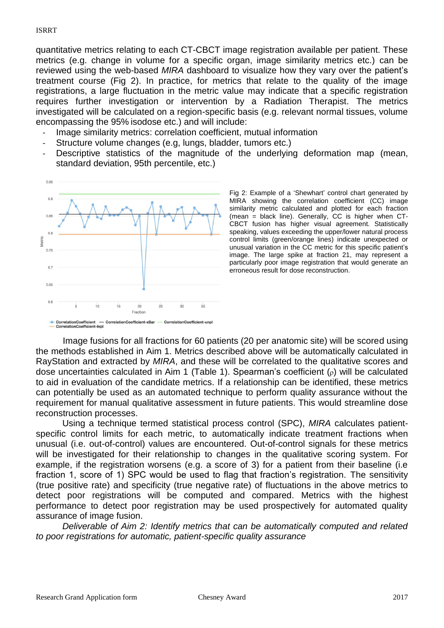quantitative metrics relating to each CT-CBCT image registration available per patient. These metrics (e.g. change in volume for a specific organ, image similarity metrics etc.) can be reviewed using the web-based *MIRA* dashboard to visualize how they vary over the patient's treatment course (Fig 2). In practice, for metrics that relate to the quality of the image registrations, a large fluctuation in the metric value may indicate that a specific registration requires further investigation or intervention by a Radiation Therapist. The metrics investigated will be calculated on a region-specific basis (e.g. relevant normal tissues, volume encompassing the 95% isodose etc.) and will include:

- Image similarity metrics: correlation coefficient, mutual information
- Structure volume changes (e.g, lungs, bladder, tumors etc.)
- Descriptive statistics of the magnitude of the underlying deformation map (mean, standard deviation, 95th percentile, etc.)



Fig 2: Example of a 'Shewhart' control chart generated by MIRA showing the correlation coefficient (CC) image similarity metric calculated and plotted for each fraction (mean = black line). Generally, CC is higher when CT-CBCT fusion has higher visual agreement. Statistically speaking, values exceeding the upper/lower natural process control limits (green/orange lines) indicate unexpected or unusual variation in the CC metric for this specific patient's image. The large spike at fraction 21, may represent a particularly poor image registration that would generate an erroneous result for dose reconstruction.

Image fusions for all fractions for 60 patients (20 per anatomic site) will be scored using the methods established in Aim 1. Metrics described above will be automatically calculated in RayStation and extracted by *MIRA*, and these will be correlated to the qualitative scores and dose uncertainties calculated in Aim 1 (Table 1). Spearman's coefficient (ρ) will be calculated to aid in evaluation of the candidate metrics. If a relationship can be identified, these metrics can potentially be used as an automated technique to perform quality assurance without the requirement for manual qualitative assessment in future patients. This would streamline dose reconstruction processes.

Using a technique termed statistical process control (SPC), *MIRA* calculates patientspecific control limits for each metric, to automatically indicate treatment fractions when unusual (i.e. out-of-control) values are encountered. Out-of-control signals for these metrics will be investigated for their relationship to changes in the qualitative scoring system. For example, if the registration worsens (e.g. a score of 3) for a patient from their baseline (i.e fraction 1, score of 1) SPC would be used to flag that fraction's registration. The sensitivity (true positive rate) and specificity (true negative rate) of fluctuations in the above metrics to detect poor registrations will be computed and compared. Metrics with the highest performance to detect poor registration may be used prospectively for automated quality assurance of image fusion.

*Deliverable of Aim 2: Identify metrics that can be automatically computed and related to poor registrations for automatic, patient-specific quality assurance*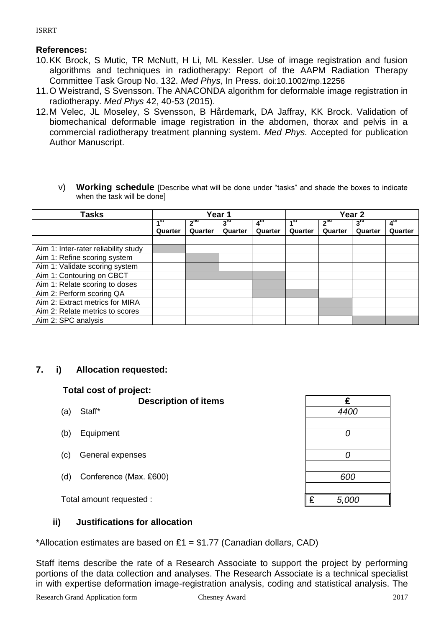# **References:**

ISRRT

- 10.KK Brock, S Mutic, TR McNutt, H Li, ML Kessler. Use of image registration and fusion algorithms and techniques in radiotherapy: Report of the AAPM Radiation Therapy Committee Task Group No. 132. *Med Phys*, In Press. doi:10.1002/mp.12256
- 11.O Weistrand, S Svensson. The ANACONDA algorithm for deformable image registration in radiotherapy. *Med Phys* 42, 40-53 (2015).
- 12.M Velec, JL Moseley, S Svensson, B Hårdemark, DA Jaffray, KK Brock. Validation of biomechanical deformable image registration in the abdomen, thorax and pelvis in a commercial radiotherapy treatment planning system. *Med Phys.* Accepted for publication Author Manuscript.
	- v) **Working schedule** [Describe what will be done under "tasks" and shade the boxes to indicate when the task will be done]

| Tasks                                | Year 1            |                 |                 | Year <sub>2</sub> |                 |                 |                 |                 |
|--------------------------------------|-------------------|-----------------|-----------------|-------------------|-----------------|-----------------|-----------------|-----------------|
|                                      | $\overline{A}$ St | 2 <sup>na</sup> | $3^{\text{rd}}$ | 4 <sup>th</sup>   | 1 <sup>st</sup> | 2 <sup>nd</sup> | $3^{\text{rd}}$ | 4 <sup>th</sup> |
|                                      | Quarter           | Quarter         | Quarter         | Quarter           | Quarter         | Quarter         | Quarter         | Quarter         |
|                                      |                   |                 |                 |                   |                 |                 |                 |                 |
| Aim 1: Inter-rater reliability study |                   |                 |                 |                   |                 |                 |                 |                 |
| Aim 1: Refine scoring system         |                   |                 |                 |                   |                 |                 |                 |                 |
| Aim 1: Validate scoring system       |                   |                 |                 |                   |                 |                 |                 |                 |
| Aim 1: Contouring on CBCT            |                   |                 |                 |                   |                 |                 |                 |                 |
| Aim 1: Relate scoring to doses       |                   |                 |                 |                   |                 |                 |                 |                 |
| Aim 2: Perform scoring QA            |                   |                 |                 |                   |                 |                 |                 |                 |
| Aim 2: Extract metrics for MIRA      |                   |                 |                 |                   |                 |                 |                 |                 |
| Aim 2: Relate metrics to scores      |                   |                 |                 |                   |                 |                 |                 |                 |
| Aim 2: SPC analysis                  |                   |                 |                 |                   |                 |                 |                 |                 |

# **7. i) Allocation requested:**

# **Total cost of project:**

- **Description of items**
- 
- (b) Equipment
- (c) General expenses *0*
- (d) Conference (Max. ₤600) *600*

# **ii) Justifications for allocation**

\*Allocation estimates are based on  $£1 = $1.77$  (Canadian dollars, CAD)

Staff items describe the rate of a Research Associate to support the project by performing portions of the data collection and analyses. The Research Associate is a technical specialist in with expertise deformation image-registration analysis, coding and statistical analysis. The

|     | <b>Description of items</b> | £          |
|-----|-----------------------------|------------|
| (a) | Staff*                      | 4400       |
|     |                             |            |
| (b) | Equipment                   |            |
|     |                             |            |
| (c) | General expenses            |            |
|     |                             |            |
| (d) | Conference (Max. £600)      | 600        |
|     |                             |            |
|     | Total amount requested :    | £<br>5,000 |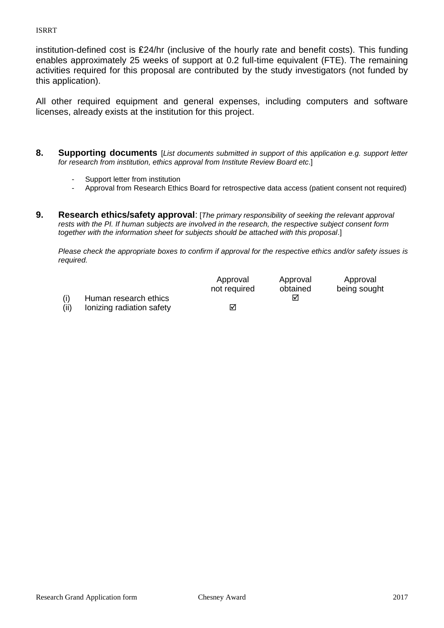ISRRT

institution-defined cost is ₤24/hr (inclusive of the hourly rate and benefit costs). This funding enables approximately 25 weeks of support at 0.2 full-time equivalent (FTE). The remaining activities required for this proposal are contributed by the study investigators (not funded by this application).

All other required equipment and general expenses, including computers and software licenses, already exists at the institution for this project.

- **8. Supporting documents** [*List documents submitted in support of this application e.g. support letter for research from institution, ethics approval from Institute Review Board etc*.]
	- Support letter from institution
	- Approval from Research Ethics Board for retrospective data access (patient consent not required)
- **9. Research ethics/safety approval**: [*The primary responsibility of seeking the relevant approval rests with the PI. If human subjects are involved in the research, the respective subject consent form together with the information sheet for subjects should be attached with this proposal*.]

*Please check the appropriate boxes to confirm if approval for the respective ethics and/or safety issues is required.*

|                       | Approval<br>not required | Approval<br>obtained | Approval<br>being sought |
|-----------------------|--------------------------|----------------------|--------------------------|
| Human research ethics |                          | ⊽                    |                          |

(ii) Ionizing radiation safety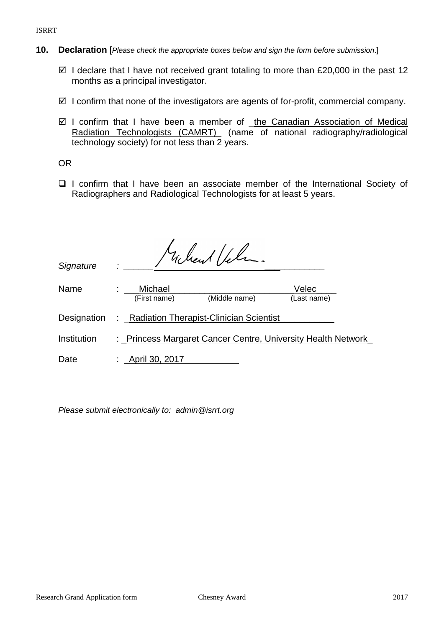ISRRT

- **10. Declaration** [*Please check the appropriate boxes below and sign the form before submission*.]
	- $\boxtimes$  I declare that I have not received grant totaling to more than £20,000 in the past 12 months as a principal investigator.
	- $\boxtimes$  I confirm that none of the investigators are agents of for-profit, commercial company.
	- ⊠ I confirm that I have been a member of \_the Canadian Association of Medical Radiation Technologists (CAMRT) (name of national radiography/radiological technology society) for not less than 2 years.

OR

 $\Box$  I confirm that I have been an associate member of the International Society of Radiographers and Radiological Technologists for at least 5 years.

|             |                   | Michael Vela.                                                |             |  |
|-------------|-------------------|--------------------------------------------------------------|-------------|--|
| Signature   |                   |                                                              |             |  |
| Name        | Michael           |                                                              | Velec       |  |
|             | (First name)      | (Middle name)                                                | (Last name) |  |
| Designation |                   | : _Radiation Therapist-Clinician Scientist                   |             |  |
| Institution |                   | : Princess Margaret Cancer Centre, University Health Network |             |  |
| Date        | : _April 30, 2017 |                                                              |             |  |

*Please submit electronically to: admin@isrrt.org*